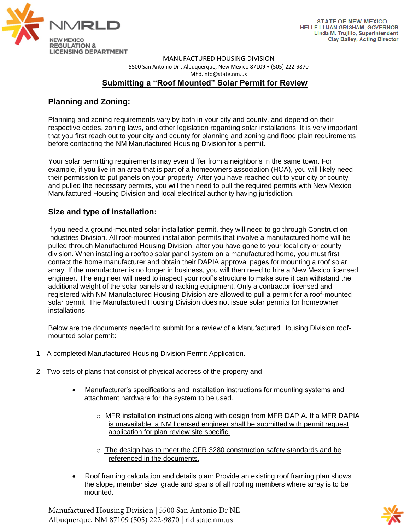

MANUFACTURED HOUSING DIVISION [5500 San Antonio Dr., Albuquerque, New Mexico 87109 • \(505\) 222](http://www.rld.state.nm.us/construction/manufactured-housing.aspx)-9870 Mhd.info@state.nm.us

## **Submitting a "Roof Mounted" Solar Permit for Review**

## **Planning and Zoning:**

Planning and zoning requirements vary by both in your city and county, and depend on their respective codes, zoning laws, and other legislation regarding solar installations. It is very important that you first reach out to your city and county for planning and zoning and flood plain requirements before contacting the NM Manufactured Housing Division for a permit.

Your solar permitting requirements may even differ from a neighbor's in the same town. For example, if you live in an area that is part of a homeowners association (HOA), you will likely need their permission to put panels on your property. After you have reached out to your city or county and pulled the necessary permits, you will then need to pull the required permits with New Mexico Manufactured Housing Division and local electrical authority having jurisdiction.

## **Size and type of installation:**

If you need a ground-mounted solar installation permit, they will need to go through Construction Industries Division. All roof-mounted installation permits that involve a manufactured home will be pulled through Manufactured Housing Division, after you have gone to your local city or county division. When installing a rooftop solar panel system on a manufactured home, you must first contact the home manufacturer and obtain their DAPIA approval pages for mounting a roof solar array. If the manufacturer is no longer in business, you will then need to hire a New Mexico licensed engineer. The engineer will need to inspect your roof's structure to make sure it can withstand the additional weight of the solar panels and racking equipment. Only a contractor licensed and registered with NM Manufactured Housing Division are allowed to pull a permit for a roof-mounted solar permit. The Manufactured Housing Division does not issue solar permits for homeowner installations.

Below are the documents needed to submit for a review of a Manufactured Housing Division roofmounted solar permit:

- 1. A completed Manufactured Housing Division Permit Application.
- 2. Two sets of plans that consist of physical address of the property and:
	- Manufacturer's specifications and installation instructions for mounting systems and attachment hardware for the system to be used.
		- $\circ$  MFR installation instructions along with design from MFR DAPIA. If a MFR DAPIA is unavailable, a NM licensed engineer shall be submitted with permit request application for plan review site specific.
		- $\circ$  The design has to meet the CFR 3280 construction safety standards and be referenced in the documents.
	- Roof framing calculation and details plan: Provide an existing roof framing plan shows the slope, member size, grade and spans of all roofing members where array is to be mounted.

Manufactured Housing Division | 5500 San Antonio Dr NE Albuquerque, NM 87109 (505) 222-9870 | rld.state.nm.us